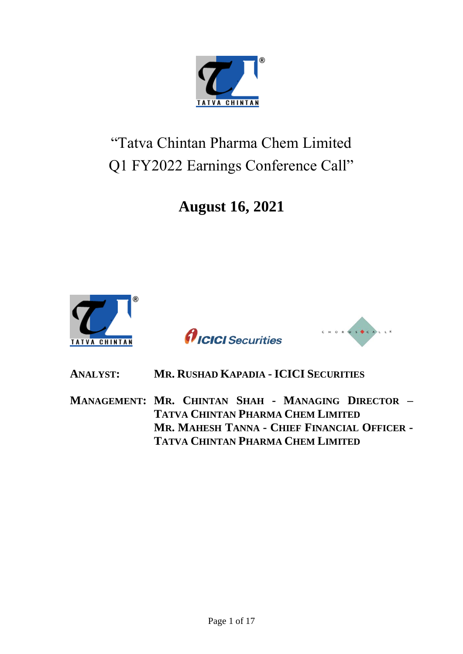

# "Tatva Chintan Pharma Chem Limited Q1 FY2022 Earnings Conference Call"

## **August 16, 2021**







### **ANALYST: MR. RUSHAD KAPADIA - ICICI SECURITIES**

**MANAGEMENT: MR. CHINTAN SHAH - MANAGING DIRECTOR – TATVA CHINTAN PHARMA CHEM LIMITED MR. MAHESH TANNA - CHIEF FINANCIAL OFFICER - TATVA CHINTAN PHARMA CHEM LIMITED**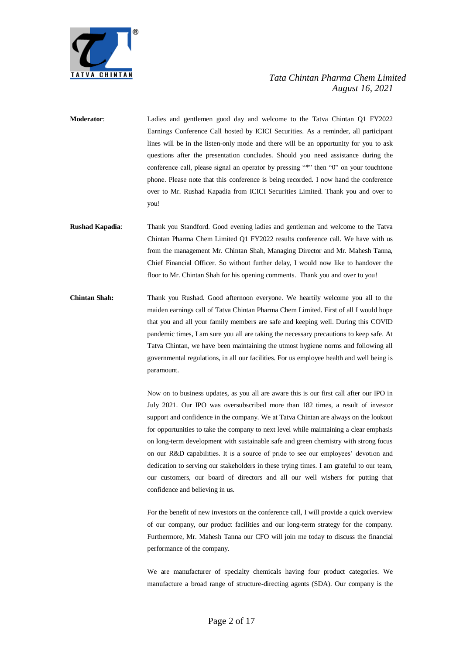

- **Moderator**: Ladies and gentlemen good day and welcome to the Tatva Chintan Q1 FY2022 Earnings Conference Call hosted by ICICI Securities. As a reminder, all participant lines will be in the listen-only mode and there will be an opportunity for you to ask questions after the presentation concludes. Should you need assistance during the conference call, please signal an operator by pressing "\*" then "0" on your touchtone phone. Please note that this conference is being recorded. I now hand the conference over to Mr. Rushad Kapadia from ICICI Securities Limited. Thank you and over to you!
- **Rushad Kapadia**: Thank you Standford. Good evening ladies and gentleman and welcome to the Tatva Chintan Pharma Chem Limited Q1 FY2022 results conference call. We have with us from the management Mr. Chintan Shah, Managing Director and Mr. Mahesh Tanna, Chief Financial Officer. So without further delay, I would now like to handover the floor to Mr. Chintan Shah for his opening comments. Thank you and over to you!
- **Chintan Shah:** Thank you Rushad. Good afternoon everyone. We heartily welcome you all to the maiden earnings call of Tatva Chintan Pharma Chem Limited. First of all I would hope that you and all your family members are safe and keeping well. During this COVID pandemic times, I am sure you all are taking the necessary precautions to keep safe. At Tatva Chintan, we have been maintaining the utmost hygiene norms and following all governmental regulations, in all our facilities. For us employee health and well being is paramount.

Now on to business updates, as you all are aware this is our first call after our IPO in July 2021. Our IPO was oversubscribed more than 182 times, a result of investor support and confidence in the company. We at Tatva Chintan are always on the lookout for opportunities to take the company to next level while maintaining a clear emphasis on long-term development with sustainable safe and green chemistry with strong focus on our R&D capabilities. It is a source of pride to see our employees' devotion and dedication to serving our stakeholders in these trying times. I am grateful to our team, our customers, our board of directors and all our well wishers for putting that confidence and believing in us.

For the benefit of new investors on the conference call, I will provide a quick overview of our company, our product facilities and our long-term strategy for the company. Furthermore, Mr. Mahesh Tanna our CFO will join me today to discuss the financial performance of the company.

We are manufacturer of specialty chemicals having four product categories. We manufacture a broad range of structure-directing agents (SDA). Our company is the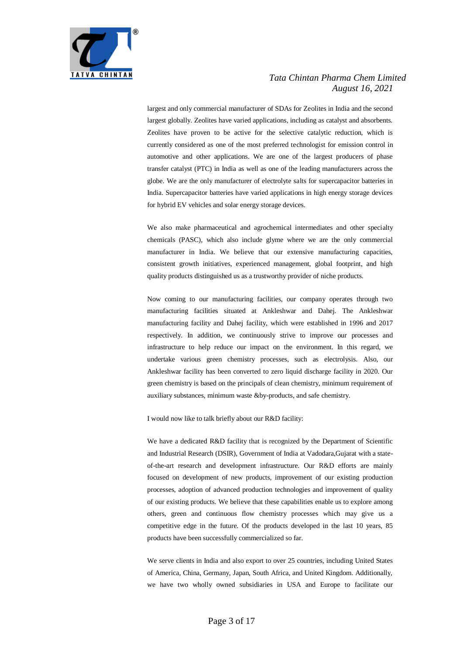

largest and only commercial manufacturer of SDAs for Zeolites in India and the second largest globally. Zeolites have varied applications, including as catalyst and absorbents. Zeolites have proven to be active for the selective catalytic reduction, which is currently considered as one of the most preferred technologist for emission control in automotive and other applications. We are one of the largest producers of phase transfer catalyst (PTC) in India as well as one of the leading manufacturers across the globe. We are the only manufacturer of electrolyte salts for supercapacitor batteries in India. Supercapacitor batteries have varied applications in high energy storage devices for hybrid EV vehicles and solar energy storage devices.

We also make pharmaceutical and agrochemical intermediates and other specialty chemicals (PASC), which also include glyme where we are the only commercial manufacturer in India. We believe that our extensive manufacturing capacities, consistent growth initiatives, experienced management, global footprint, and high quality products distinguished us as a trustworthy provider of niche products.

Now coming to our manufacturing facilities, our company operates through two manufacturing facilities situated at Ankleshwar and Dahej. The Ankleshwar manufacturing facility and Dahej facility, which were established in 1996 and 2017 respectively. In addition, we continuously strive to improve our processes and infrastructure to help reduce our impact on the environment. In this regard, we undertake various green chemistry processes, such as electrolysis. Also, our Ankleshwar facility has been converted to zero liquid discharge facility in 2020. Our green chemistry is based on the principals of clean chemistry, minimum requirement of auxiliary substances, minimum waste &by-products, and safe chemistry.

I would now like to talk briefly about our R&D facility:

We have a dedicated R&D facility that is recognized by the Department of Scientific and Industrial Research (DSIR), Government of India at Vadodara,Gujarat with a stateof-the-art research and development infrastructure. Our R&D efforts are mainly focused on development of new products, improvement of our existing production processes, adoption of advanced production technologies and improvement of quality of our existing products. We believe that these capabilities enable us to explore among others, green and continuous flow chemistry processes which may give us a competitive edge in the future. Of the products developed in the last 10 years, 85 products have been successfully commercialized so far.

We serve clients in India and also export to over 25 countries, including United States of America, China, Germany, Japan, South Africa, and United Kingdom. Additionally, we have two wholly owned subsidiaries in USA and Europe to facilitate our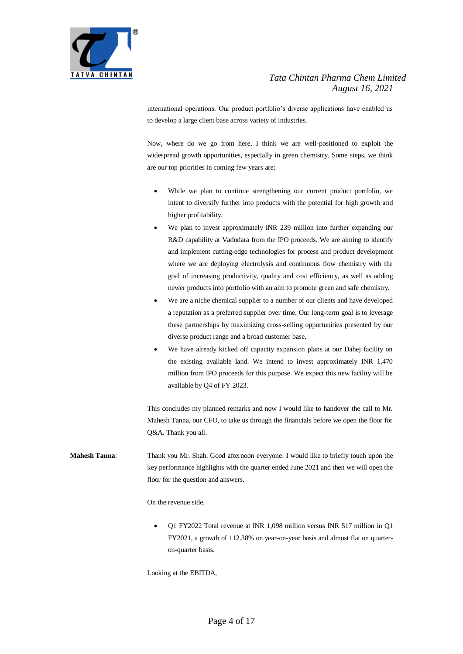

international operations. Our product portfolio's diverse applications have enabled us to develop a large client base across variety of industries.

Now, where do we go from here, I think we are well-positioned to exploit the widespread growth opportunities, especially in green chemistry. Some steps, we think are our top priorities in coming few years are:

- While we plan to continue strengthening our current product portfolio, we intent to diversify further into products with the potential for high growth and higher profitability.
- We plan to invest approximately INR 239 million into further expanding our R&D capability at Vadodara from the IPO proceeds. We are aiming to identify and implement cutting-edge technologies for process and product development where we are deploying electrolysis and continuous flow chemistry with the goal of increasing productivity, quality and cost efficiency, as well as adding newer products into portfolio with an aim to promote green and safe chemistry.
- We are a niche chemical supplier to a number of our clients and have developed a reputation as a preferred supplier over time. Our long-term goal is to leverage these partnerships by maximizing cross-selling opportunities presented by our diverse product range and a broad customer base.
- We have already kicked off capacity expansion plans at our Dahej facility on the existing available land. We intend to invest approximately INR 1,470 million from IPO proceeds for this purpose. We expect this new facility will be available by Q4 of FY 2023.

This concludes my planned remarks and now I would like to handover the call to Mr. Mahesh Tanna, our CFO, to take us through the financials before we open the floor for Q&A. Thank you all.

**Mahesh Tanna**: Thank you Mr. Shah. Good afternoon everyone. I would like to briefly touch upon the key performance highlights with the quarter ended June 2021 and then we will open the floor for the question and answers.

On the revenue side,

 Q1 FY2022 Total revenue at INR 1,098 million versus INR 517 million in Q1 FY2021, a growth of 112.38% on year-on-year basis and almost flat on quarteron-quarter basis.

Looking at the EBITDA,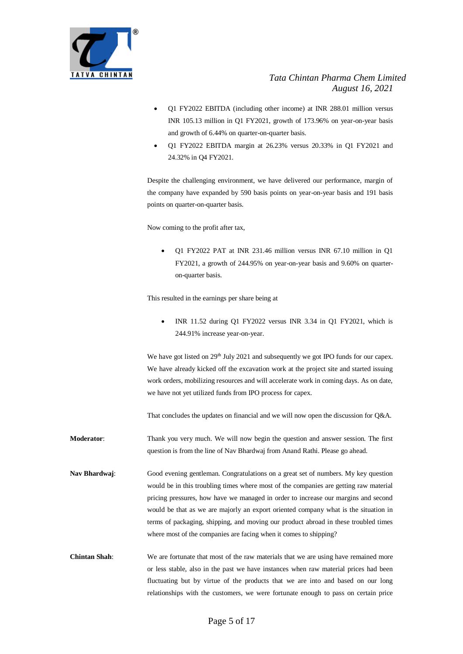

- Q1 FY2022 EBITDA (including other income) at INR 288.01 million versus INR 105.13 million in Q1 FY2021, growth of 173.96% on year-on-year basis and growth of 6.44% on quarter-on-quarter basis.
- Q1 FY2022 EBITDA margin at 26.23% versus 20.33% in Q1 FY2021 and 24.32% in Q4 FY2021.

Despite the challenging environment, we have delivered our performance, margin of the company have expanded by 590 basis points on year-on-year basis and 191 basis points on quarter-on-quarter basis.

Now coming to the profit after tax,

 Q1 FY2022 PAT at INR 231.46 million versus INR 67.10 million in Q1 FY2021, a growth of 244.95% on year-on-year basis and 9.60% on quarteron-quarter basis.

This resulted in the earnings per share being at

 INR 11.52 during Q1 FY2022 versus INR 3.34 in Q1 FY2021, which is 244.91% increase year-on-year.

We have got listed on  $29<sup>th</sup>$  July 2021 and subsequently we got IPO funds for our capex. We have already kicked off the excavation work at the project site and started issuing work orders, mobilizing resources and will accelerate work in coming days. As on date, we have not yet utilized funds from IPO process for capex.

That concludes the updates on financial and we will now open the discussion for Q&A.

- **Moderator**: Thank you very much. We will now begin the question and answer session. The first question is from the line of Nav Bhardwaj from Anand Rathi. Please go ahead.
- **Nav Bhardwaj**: Good evening gentleman. Congratulations on a great set of numbers. My key question would be in this troubling times where most of the companies are getting raw material pricing pressures, how have we managed in order to increase our margins and second would be that as we are majorly an export oriented company what is the situation in terms of packaging, shipping, and moving our product abroad in these troubled times where most of the companies are facing when it comes to shipping?
- **Chintan Shah:** We are fortunate that most of the raw materials that we are using have remained more or less stable, also in the past we have instances when raw material prices had been fluctuating but by virtue of the products that we are into and based on our long relationships with the customers, we were fortunate enough to pass on certain price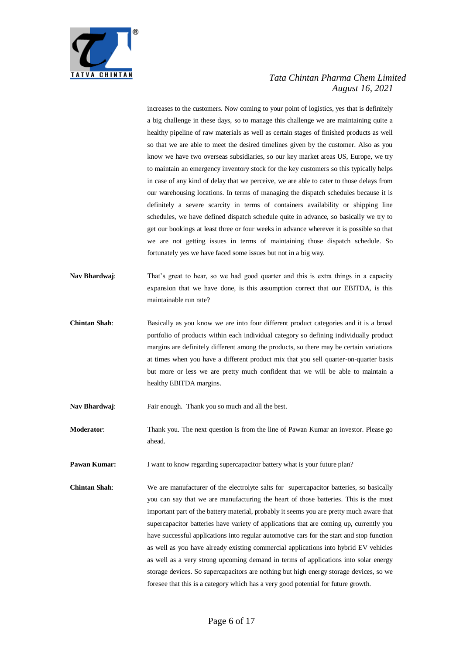

increases to the customers. Now coming to your point of logistics, yes that is definitely a big challenge in these days, so to manage this challenge we are maintaining quite a healthy pipeline of raw materials as well as certain stages of finished products as well so that we are able to meet the desired timelines given by the customer. Also as you know we have two overseas subsidiaries, so our key market areas US, Europe, we try to maintain an emergency inventory stock for the key customers so this typically helps in case of any kind of delay that we perceive, we are able to cater to those delays from our warehousing locations. In terms of managing the dispatch schedules because it is definitely a severe scarcity in terms of containers availability or shipping line schedules, we have defined dispatch schedule quite in advance, so basically we try to get our bookings at least three or four weeks in advance wherever it is possible so that we are not getting issues in terms of maintaining those dispatch schedule. So fortunately yes we have faced some issues but not in a big way.

- **Nav Bhardwaj**: That's great to hear, so we had good quarter and this is extra things in a capacity expansion that we have done, is this assumption correct that our EBITDA, is this maintainable run rate?
- **Chintan Shah**: Basically as you know we are into four different product categories and it is a broad portfolio of products within each individual category so defining individually product margins are definitely different among the products, so there may be certain variations at times when you have a different product mix that you sell quarter-on-quarter basis but more or less we are pretty much confident that we will be able to maintain a healthy EBITDA margins.
- Nav Bhardwaj: Fair enough. Thank you so much and all the best.
- **Moderator:** Thank you. The next question is from the line of Pawan Kumar an investor. Please go ahead.
- **Pawan Kumar:** I want to know regarding supercapacitor battery what is your future plan?
- **Chintan Shah:** We are manufacturer of the electrolyte salts for supercapacitor batteries, so basically you can say that we are manufacturing the heart of those batteries. This is the most important part of the battery material, probably it seems you are pretty much aware that supercapacitor batteries have variety of applications that are coming up, currently you have successful applications into regular automotive cars for the start and stop function as well as you have already existing commercial applications into hybrid EV vehicles as well as a very strong upcoming demand in terms of applications into solar energy storage devices. So supercapacitors are nothing but high energy storage devices, so we foresee that this is a category which has a very good potential for future growth.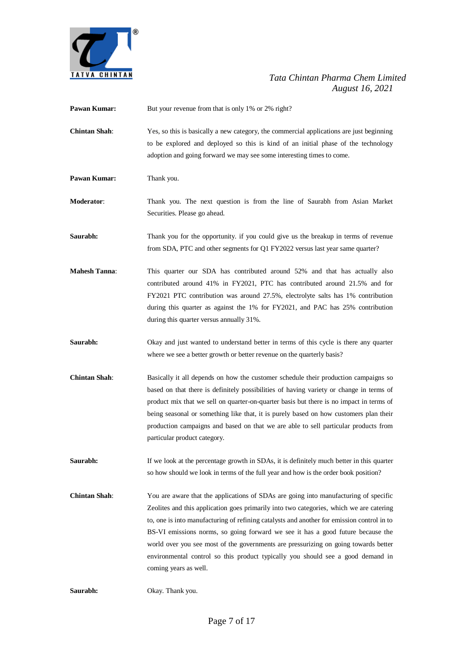

**Pawan Kumar:** But your revenue from that is only 1% or 2% right? **Chintan Shah**: Yes, so this is basically a new category, the commercial applications are just beginning to be explored and deployed so this is kind of an initial phase of the technology adoption and going forward we may see some interesting times to come. Pawan Kumar: Thank you. **Moderator**: Thank you. The next question is from the line of Saurabh from Asian Market Securities. Please go ahead. **Saurabh:** Thank you for the opportunity. if you could give us the breakup in terms of revenue from SDA, PTC and other segments for Q1 FY2022 versus last year same quarter? **Mahesh Tanna**: This quarter our SDA has contributed around 52% and that has actually also contributed around 41% in FY2021, PTC has contributed around 21.5% and for FY2021 PTC contribution was around 27.5%, electrolyte salts has 1% contribution during this quarter as against the 1% for FY2021, and PAC has 25% contribution during this quarter versus annually 31%. **Saurabh:** Okay and just wanted to understand better in terms of this cycle is there any quarter where we see a better growth or better revenue on the quarterly basis? **Chintan Shah**: Basically it all depends on how the customer schedule their production campaigns so based on that there is definitely possibilities of having variety or change in terms of product mix that we sell on quarter-on-quarter basis but there is no impact in terms of being seasonal or something like that, it is purely based on how customers plan their production campaigns and based on that we are able to sell particular products from particular product category. **Saurabh:** If we look at the percentage growth in SDAs, it is definitely much better in this quarter so how should we look in terms of the full year and how is the order book position? **Chintan Shah**: You are aware that the applications of SDAs are going into manufacturing of specific Zeolites and this application goes primarily into two categories, which we are catering to, one is into manufacturing of refining catalysts and another for emission control in to BS-VI emissions norms, so going forward we see it has a good future because the world over you see most of the governments are pressurizing on going towards better environmental control so this product typically you should see a good demand in coming years as well.

**Saurabh:** Okay. Thank you.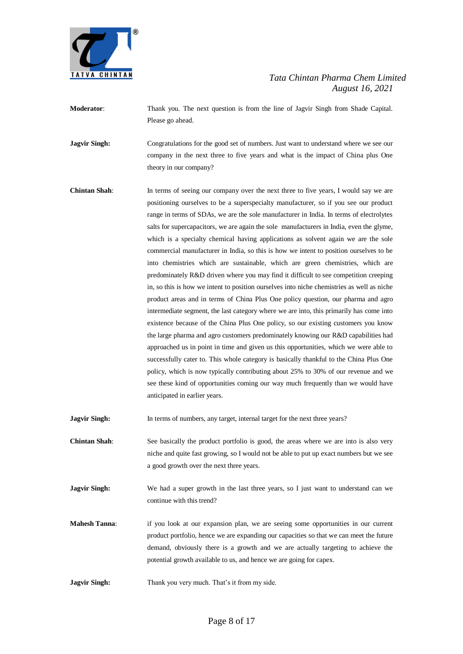

**Moderator**: Thank you. The next question is from the line of Jagvir Singh from Shade Capital. Please go ahead.

**Jagvir Singh:** Congratulations for the good set of numbers. Just want to understand where we see our company in the next three to five years and what is the impact of China plus One theory in our company?

**Chintan Shah**: In terms of seeing our company over the next three to five years, I would say we are positioning ourselves to be a superspecialty manufacturer, so if you see our product range in terms of SDAs, we are the sole manufacturer in India. In terms of electrolytes salts for supercapacitors, we are again the sole manufacturers in India, even the glyme, which is a specialty chemical having applications as solvent again we are the sole commercial manufacturer in India, so this is how we intent to position ourselves to be into chemistries which are sustainable, which are green chemistries, which are predominately R&D driven where you may find it difficult to see competition creeping in, so this is how we intent to position ourselves into niche chemistries as well as niche product areas and in terms of China Plus One policy question, our pharma and agro intermediate segment, the last category where we are into, this primarily has come into existence because of the China Plus One policy, so our existing customers you know the large pharma and agro customers predominately knowing our R&D capabilities had approached us in point in time and given us this opportunities, which we were able to successfully cater to. This whole category is basically thankful to the China Plus One policy, which is now typically contributing about 25% to 30% of our revenue and we see these kind of opportunities coming our way much frequently than we would have anticipated in earlier years.

**Jagvir Singh:** In terms of numbers, any target, internal target for the next three years?

- **Chintan Shah**: See basically the product portfolio is good, the areas where we are into is also very niche and quite fast growing, so I would not be able to put up exact numbers but we see a good growth over the next three years.
- **Jagvir Singh:** We had a super growth in the last three years, so I just want to understand can we continue with this trend?
- **Mahesh Tanna:** if you look at our expansion plan, we are seeing some opportunities in our current product portfolio, hence we are expanding our capacities so that we can meet the future demand, obviously there is a growth and we are actually targeting to achieve the potential growth available to us, and hence we are going for capex.
- **Jagvir Singh:** Thank you very much. That's it from my side.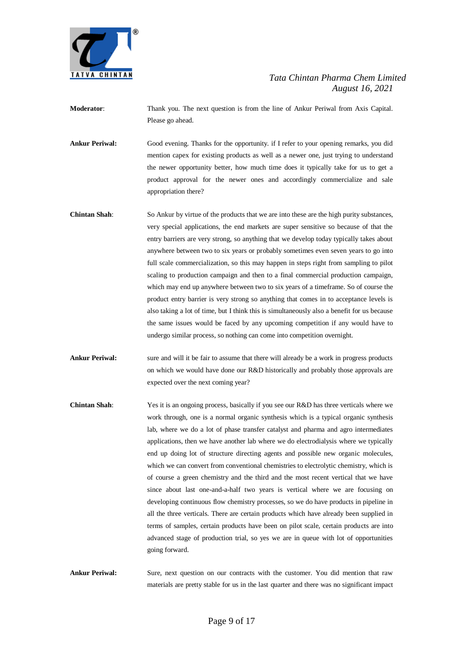

**Moderator**: Thank you. The next question is from the line of Ankur Periwal from Axis Capital. Please go ahead.

**Ankur Periwal:** Good evening. Thanks for the opportunity. if I refer to your opening remarks, you did mention capex for existing products as well as a newer one, just trying to understand the newer opportunity better, how much time does it typically take for us to get a product approval for the newer ones and accordingly commercialize and sale appropriation there?

- **Chintan Shah:** So Ankur by virtue of the products that we are into these are the high purity substances, very special applications, the end markets are super sensitive so because of that the entry barriers are very strong, so anything that we develop today typically takes about anywhere between two to six years or probably sometimes even seven years to go into full scale commercialization, so this may happen in steps right from sampling to pilot scaling to production campaign and then to a final commercial production campaign, which may end up anywhere between two to six years of a timeframe. So of course the product entry barrier is very strong so anything that comes in to acceptance levels is also taking a lot of time, but I think this is simultaneously also a benefit for us because the same issues would be faced by any upcoming competition if any would have to undergo similar process, so nothing can come into competition overnight.
- **Ankur Periwal:** sure and will it be fair to assume that there will already be a work in progress products on which we would have done our R&D historically and probably those approvals are expected over the next coming year?
- **Chintan Shah**: Yes it is an ongoing process, basically if you see our R&D has three verticals where we work through, one is a normal organic synthesis which is a typical organic synthesis lab, where we do a lot of phase transfer catalyst and pharma and agro intermediates applications, then we have another lab where we do electrodialysis where we typically end up doing lot of structure directing agents and possible new organic molecules, which we can convert from conventional chemistries to electrolytic chemistry, which is of course a green chemistry and the third and the most recent vertical that we have since about last one-and-a-half two years is vertical where we are focusing on developing continuous flow chemistry processes, so we do have products in pipeline in all the three verticals. There are certain products which have already been supplied in terms of samples, certain products have been on pilot scale, certain products are into advanced stage of production trial, so yes we are in queue with lot of opportunities going forward.

**Ankur Periwal:** Sure, next question on our contracts with the customer. You did mention that raw materials are pretty stable for us in the last quarter and there was no significant impact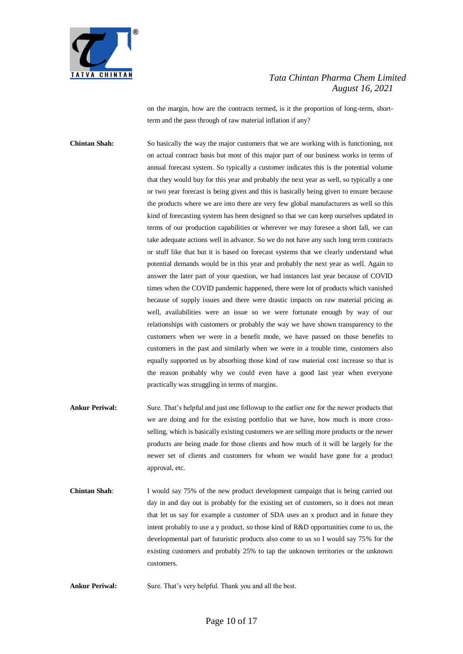

on the margin, how are the contracts termed, is it the proportion of long-term, shortterm and the pass through of raw material inflation if any?

**Chintan Shah:** So basically the way the major customers that we are working with is functioning, not on actual contract basis but most of this major part of our business works in terms of annual forecast system. So typically a customer indicates this is the potential volume that they would buy for this year and probably the next year as well, so typically a one or two year forecast is being given and this is basically being given to ensure because the products where we are into there are very few global manufacturers as well so this kind of forecasting system has been designed so that we can keep ourselves updated in terms of our production capabilities or wherever we may foresee a short fall, we can take adequate actions well in advance. So we do not have any such long term contracts or stuff like that but it is based on forecast systems that we clearly understand what potential demands would be in this year and probably the next year as well. Again to answer the later part of your question, we had instances last year because of COVID times when the COVID pandemic happened, there were lot of products which vanished because of supply issues and there were drastic impacts on raw material pricing as well, availabilities were an issue so we were fortunate enough by way of our relationships with customers or probably the way we have shown transparency to the customers when we were in a benefit mode, we have passed on those benefits to customers in the past and similarly when we were in a trouble time, customers also equally supported us by absorbing those kind of raw material cost increase so that is the reason probably why we could even have a good last year when everyone practically was struggling in terms of margins.

- **Ankur Periwal:** Sure. That's helpful and just one followup to the earlier one for the newer products that we are doing and for the existing portfolio that we have, how much is more crossselling, which is basically existing customers we are selling more products or the newer products are being made for those clients and how much of it will be largely for the newer set of clients and customers for whom we would have gone for a product approval, etc.
- **Chintan Shah:** I would say 75% of the new product development campaign that is being carried out day in and day out is probably for the existing set of customers, so it does not mean that let us say for example a customer of SDA uses an x product and in future they intent probably to use a y product, so those kind of R&D opportunities come to us, the developmental part of futuristic products also come to us so I would say 75% for the existing customers and probably 25% to tap the unknown territories or the unknown customers.

Ankur Periwal: Sure. That's very helpful. Thank you and all the best.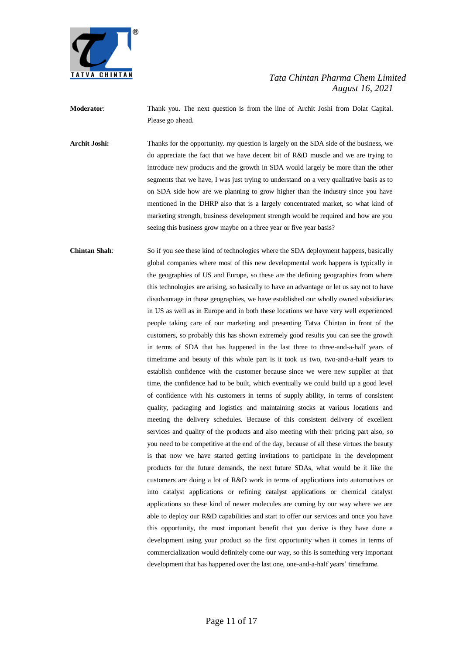

**Moderator**: Thank you. The next question is from the line of Archit Joshi from Dolat Capital. Please go ahead.

**Archit Joshi:** Thanks for the opportunity. my question is largely on the SDA side of the business, we do appreciate the fact that we have decent bit of R&D muscle and we are trying to introduce new products and the growth in SDA would largely be more than the other segments that we have, I was just trying to understand on a very qualitative basis as to on SDA side how are we planning to grow higher than the industry since you have mentioned in the DHRP also that is a largely concentrated market, so what kind of marketing strength, business development strength would be required and how are you seeing this business grow maybe on a three year or five year basis?

**Chintan Shah**: So if you see these kind of technologies where the SDA deployment happens, basically global companies where most of this new developmental work happens is typically in the geographies of US and Europe, so these are the defining geographies from where this technologies are arising, so basically to have an advantage or let us say not to have disadvantage in those geographies, we have established our wholly owned subsidiaries in US as well as in Europe and in both these locations we have very well experienced people taking care of our marketing and presenting Tatva Chintan in front of the customers, so probably this has shown extremely good results you can see the growth in terms of SDA that has happened in the last three to three-and-a-half years of timeframe and beauty of this whole part is it took us two, two-and-a-half years to establish confidence with the customer because since we were new supplier at that time, the confidence had to be built, which eventually we could build up a good level of confidence with his customers in terms of supply ability, in terms of consistent quality, packaging and logistics and maintaining stocks at various locations and meeting the delivery schedules. Because of this consistent delivery of excellent services and quality of the products and also meeting with their pricing part also, so you need to be competitive at the end of the day, because of all these virtues the beauty is that now we have started getting invitations to participate in the development products for the future demands, the next future SDAs, what would be it like the customers are doing a lot of R&D work in terms of applications into automotives or into catalyst applications or refining catalyst applications or chemical catalyst applications so these kind of newer molecules are coming by our way where we are able to deploy our R&D capabilities and start to offer our services and once you have this opportunity, the most important benefit that you derive is they have done a development using your product so the first opportunity when it comes in terms of commercialization would definitely come our way, so this is something very important development that has happened over the last one, one-and-a-half years' timeframe.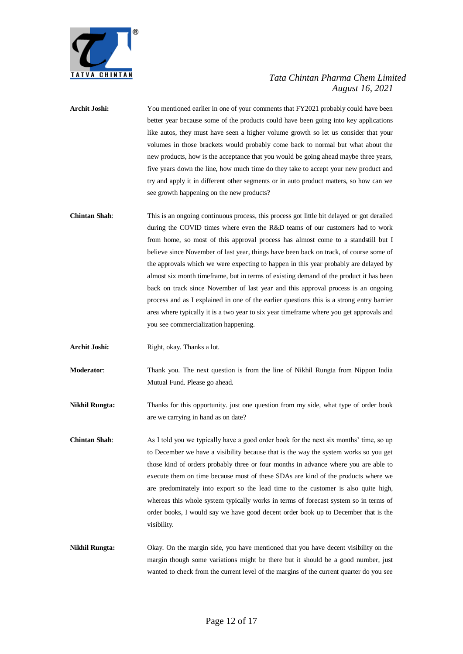

- Archit Joshi: You mentioned earlier in one of your comments that FY2021 probably could have been better year because some of the products could have been going into key applications like autos, they must have seen a higher volume growth so let us consider that your volumes in those brackets would probably come back to normal but what about the new products, how is the acceptance that you would be going ahead maybe three years, five years down the line, how much time do they take to accept your new product and try and apply it in different other segments or in auto product matters, so how can we see growth happening on the new products?
- **Chintan Shah**: This is an ongoing continuous process, this process got little bit delayed or got derailed during the COVID times where even the R&D teams of our customers had to work from home, so most of this approval process has almost come to a standstill but I believe since November of last year, things have been back on track, of course some of the approvals which we were expecting to happen in this year probably are delayed by almost six month timeframe, but in terms of existing demand of the product it has been back on track since November of last year and this approval process is an ongoing process and as I explained in one of the earlier questions this is a strong entry barrier area where typically it is a two year to six year timeframe where you get approvals and you see commercialization happening.
- Archit Joshi: Right, okay. Thanks a lot.

**Moderator**: Thank you. The next question is from the line of Nikhil Rungta from Nippon India Mutual Fund. Please go ahead.

- **Nikhil Rungta:** Thanks for this opportunity. just one question from my side, what type of order book are we carrying in hand as on date?
- **Chintan Shah**: As I told you we typically have a good order book for the next six months' time, so up to December we have a visibility because that is the way the system works so you get those kind of orders probably three or four months in advance where you are able to execute them on time because most of these SDAs are kind of the products where we are predominately into export so the lead time to the customer is also quite high, whereas this whole system typically works in terms of forecast system so in terms of order books, I would say we have good decent order book up to December that is the visibility.
- **Nikhil Rungta:** Okay. On the margin side, you have mentioned that you have decent visibility on the margin though some variations might be there but it should be a good number, just wanted to check from the current level of the margins of the current quarter do you see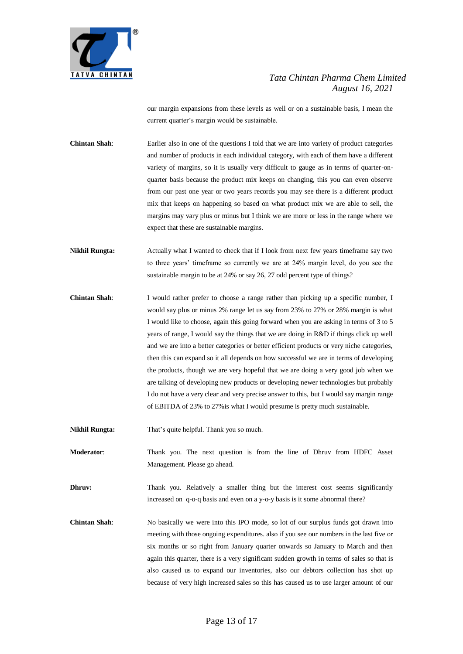

our margin expansions from these levels as well or on a sustainable basis, I mean the current quarter's margin would be sustainable.

**Chintan Shah**: Earlier also in one of the questions I told that we are into variety of product categories and number of products in each individual category, with each of them have a different variety of margins, so it is usually very difficult to gauge as in terms of quarter-onquarter basis because the product mix keeps on changing, this you can even observe from our past one year or two years records you may see there is a different product mix that keeps on happening so based on what product mix we are able to sell, the margins may vary plus or minus but I think we are more or less in the range where we expect that these are sustainable margins.

**Nikhil Rungta:** Actually what I wanted to check that if I look from next few years timeframe say two to three years' timeframe so currently we are at 24% margin level, do you see the sustainable margin to be at 24% or say 26, 27 odd percent type of things?

**Chintan Shah**: I would rather prefer to choose a range rather than picking up a specific number, I would say plus or minus 2% range let us say from 23% to 27% or 28% margin is what I would like to choose, again this going forward when you are asking in terms of 3 to 5 years of range, I would say the things that we are doing in R&D if things click up well and we are into a better categories or better efficient products or very niche categories, then this can expand so it all depends on how successful we are in terms of developing the products, though we are very hopeful that we are doing a very good job when we are talking of developing new products or developing newer technologies but probably I do not have a very clear and very precise answer to this, but I would say margin range of EBITDA of 23% to 27%is what I would presume is pretty much sustainable.

**Nikhil Rungta:** That's quite helpful. Thank you so much.

**Moderator**: Thank you. The next question is from the line of Dhruv from HDFC Asset Management. Please go ahead.

**Dhruv:** Thank you. Relatively a smaller thing but the interest cost seems significantly increased on q-o-q basis and even on a y-o-y basis is it some abnormal there?

**Chintan Shah**: No basically we were into this IPO mode, so lot of our surplus funds got drawn into meeting with those ongoing expenditures. also if you see our numbers in the last five or six months or so right from January quarter onwards so January to March and then again this quarter, there is a very significant sudden growth in terms of sales so that is also caused us to expand our inventories, also our debtors collection has shot up because of very high increased sales so this has caused us to use larger amount of our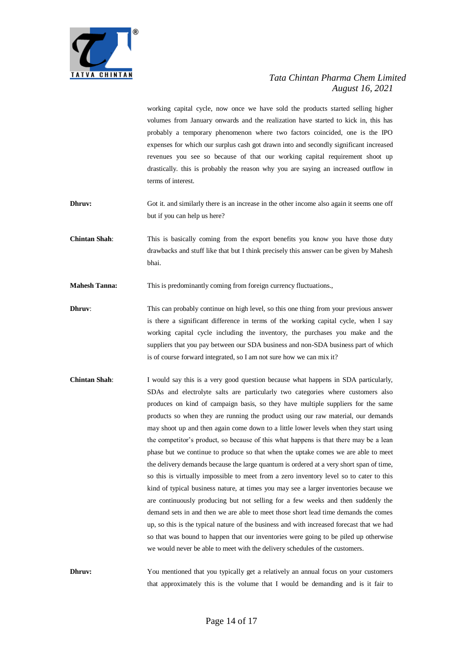

working capital cycle, now once we have sold the products started selling higher volumes from January onwards and the realization have started to kick in, this has probably a temporary phenomenon where two factors coincided, one is the IPO expenses for which our surplus cash got drawn into and secondly significant increased revenues you see so because of that our working capital requirement shoot up drastically. this is probably the reason why you are saying an increased outflow in terms of interest.

- **Dhruv:** Got it. and similarly there is an increase in the other income also again it seems one off but if you can help us here?
- **Chintan Shah**: This is basically coming from the export benefits you know you have those duty drawbacks and stuff like that but I think precisely this answer can be given by Mahesh bhai.
- **Mahesh Tanna:** This is predominantly coming from foreign currency fluctuations.,
- **Dhruv:** This can probably continue on high level, so this one thing from your previous answer is there a significant difference in terms of the working capital cycle, when I say working capital cycle including the inventory, the purchases you make and the suppliers that you pay between our SDA business and non-SDA business part of which is of course forward integrated, so I am not sure how we can mix it?
- **Chintan Shah**: I would say this is a very good question because what happens in SDA particularly, SDAs and electrolyte salts are particularly two categories where customers also produces on kind of campaign basis, so they have multiple suppliers for the same products so when they are running the product using our raw material, our demands may shoot up and then again come down to a little lower levels when they start using the competitor's product, so because of this what happens is that there may be a lean phase but we continue to produce so that when the uptake comes we are able to meet the delivery demands because the large quantum is ordered at a very short span of time, so this is virtually impossible to meet from a zero inventory level so to cater to this kind of typical business nature, at times you may see a larger inventories because we are continuously producing but not selling for a few weeks and then suddenly the demand sets in and then we are able to meet those short lead time demands the comes up, so this is the typical nature of the business and with increased forecast that we had so that was bound to happen that our inventories were going to be piled up otherwise we would never be able to meet with the delivery schedules of the customers.

**Dhruv:** You mentioned that you typically get a relatively an annual focus on your customers that approximately this is the volume that I would be demanding and is it fair to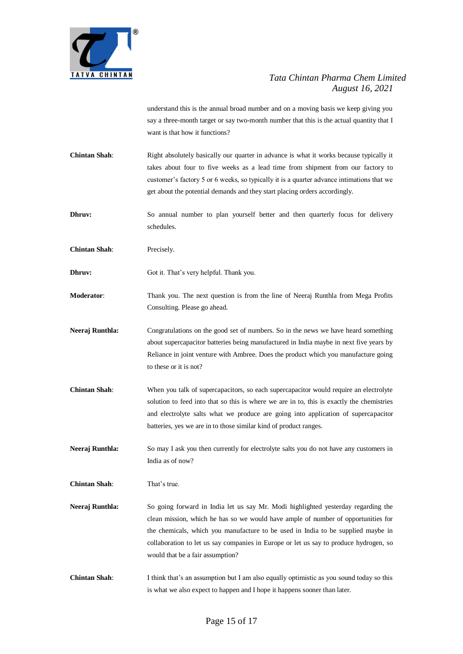

understand this is the annual broad number and on a moving basis we keep giving you say a three-month target or say two-month number that this is the actual quantity that I want is that how it functions?

**Chintan Shah**: Right absolutely basically our quarter in advance is what it works because typically it takes about four to five weeks as a lead time from shipment from our factory to customer's factory 5 or 6 weeks, so typically it is a quarter advance intimations that we get about the potential demands and they start placing orders accordingly.

**Dhruv:** So annual number to plan yourself better and then quarterly focus for delivery schedules.

**Chintan Shah**: Precisely.

**Dhruv:** Got it. That's very helpful. Thank you.

**Moderator**: Thank you. The next question is from the line of Neeraj Runthla from Mega Profits Consulting. Please go ahead.

- Neeraj Runthla: Congratulations on the good set of numbers. So in the news we have heard something about supercapacitor batteries being manufactured in India maybe in next five years by Reliance in joint venture with Ambree. Does the product which you manufacture going to these or it is not?
- **Chintan Shah:** When you talk of supercapacitors, so each supercapacitor would require an electrolyte solution to feed into that so this is where we are in to, this is exactly the chemistries and electrolyte salts what we produce are going into application of supercapacitor batteries, yes we are in to those similar kind of product ranges.

**Neeraj Runthla:** So may I ask you then currently for electrolyte salts you do not have any customers in India as of now?

**Chintan Shah**: That's true.

- **Neeraj Runthla:** So going forward in India let us say Mr. Modi highlighted yesterday regarding the clean mission, which he has so we would have ample of number of opportunities for the chemicals, which you manufacture to be used in India to be supplied maybe in collaboration to let us say companies in Europe or let us say to produce hydrogen, so would that be a fair assumption?
- **Chintan Shah**: I think that's an assumption but I am also equally optimistic as you sound today so this is what we also expect to happen and I hope it happens sooner than later.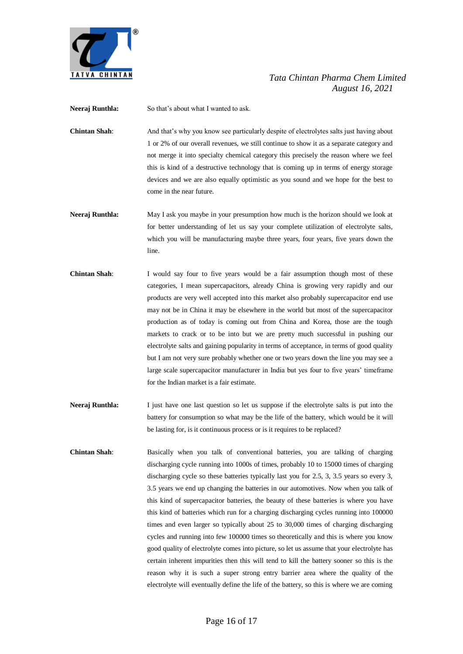

**Neeraj Runthla:** So that's about what I wanted to ask.

**Chintan Shah**: And that's why you know see particularly despite of electrolytes salts just having about 1 or 2% of our overall revenues, we still continue to show it as a separate category and not merge it into specialty chemical category this precisely the reason where we feel this is kind of a destructive technology that is coming up in terms of energy storage devices and we are also equally optimistic as you sound and we hope for the best to come in the near future.

- **Neeraj Runthla:** May I ask you maybe in your presumption how much is the horizon should we look at for better understanding of let us say your complete utilization of electrolyte salts, which you will be manufacturing maybe three years, four years, five years down the line.
- **Chintan Shah**: I would say four to five years would be a fair assumption though most of these categories, I mean supercapacitors, already China is growing very rapidly and our products are very well accepted into this market also probably supercapacitor end use may not be in China it may be elsewhere in the world but most of the supercapacitor production as of today is coming out from China and Korea, those are the tough markets to crack or to be into but we are pretty much successful in pushing our electrolyte salts and gaining popularity in terms of acceptance, in terms of good quality but I am not very sure probably whether one or two years down the line you may see a large scale supercapacitor manufacturer in India but yes four to five years' timeframe for the Indian market is a fair estimate.
- **Neeraj Runthla:** I just have one last question so let us suppose if the electrolyte salts is put into the battery for consumption so what may be the life of the battery, which would be it will be lasting for, is it continuous process or is it requires to be replaced?
- **Chintan Shah**: Basically when you talk of conventional batteries, you are talking of charging discharging cycle running into 1000s of times, probably 10 to 15000 times of charging discharging cycle so these batteries typically last you for 2.5, 3, 3.5 years so every 3, 3.5 years we end up changing the batteries in our automotives. Now when you talk of this kind of supercapacitor batteries, the beauty of these batteries is where you have this kind of batteries which run for a charging discharging cycles running into 100000 times and even larger so typically about 25 to 30,000 times of charging discharging cycles and running into few 100000 times so theoretically and this is where you know good quality of electrolyte comes into picture, so let us assume that your electrolyte has certain inherent impurities then this will tend to kill the battery sooner so this is the reason why it is such a super strong entry barrier area where the quality of the electrolyte will eventually define the life of the battery, so this is where we are coming